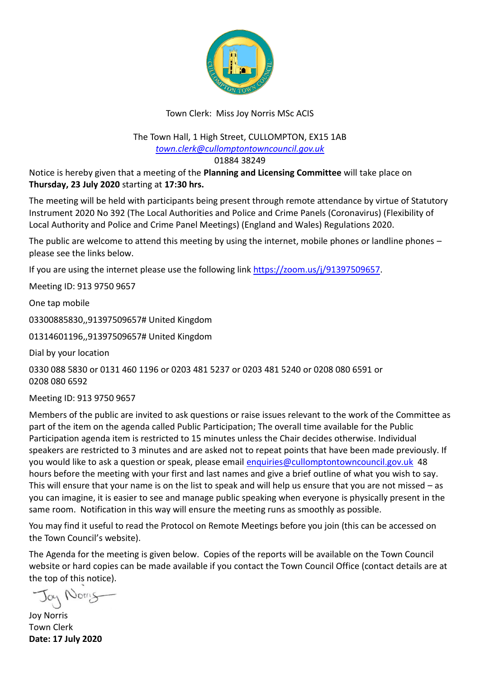

## Town Clerk: Miss Joy Norris MSc ACIS

The Town Hall, 1 High Street, CULLOMPTON, EX15 1AB *[town.clerk@cullomptontowncouncil.gov.uk](mailto:town.clerk@cullomptontowncouncil.gov.uk)*

01884 38249

Notice is hereby given that a meeting of the **Planning and Licensing Committee** will take place on **Thursday, 23 July 2020** starting at **17:30 hrs.**

The meeting will be held with participants being present through remote attendance by virtue of Statutory Instrument 2020 No 392 (The Local Authorities and Police and Crime Panels (Coronavirus) (Flexibility of Local Authority and Police and Crime Panel Meetings) (England and Wales) Regulations 2020.

The public are welcome to attend this meeting by using the internet, mobile phones or landline phones  $$ please see the links below.

If you are using the internet please use the following link [https://zoom.us/j/91397509657.](https://zoom.us/j/91397509657)

Meeting ID: 913 9750 9657

One tap mobile

03300885830,,91397509657# United Kingdom

01314601196,,91397509657# United Kingdom

Dial by your location

0330 088 5830 or 0131 460 1196 or 0203 481 5237 or 0203 481 5240 or 0208 080 6591 or 0208 080 6592

Meeting ID: 913 9750 9657

Members of the public are invited to ask questions or raise issues relevant to the work of the Committee as part of the item on the agenda called Public Participation; The overall time available for the Public Participation agenda item is restricted to 15 minutes unless the Chair decides otherwise. Individual speakers are restricted to 3 minutes and are asked not to repeat points that have been made previously. If you would like to ask a question or speak, please email [enquiries@cullomptontowncouncil.gov.uk](mailto:enquiries@cullomptontowncouncil.gov.uk) 48 hours before the meeting with your first and last names and give a brief outline of what you wish to say. This will ensure that your name is on the list to speak and will help us ensure that you are not missed – as you can imagine, it is easier to see and manage public speaking when everyone is physically present in the same room. Notification in this way will ensure the meeting runs as smoothly as possible.

You may find it useful to read the Protocol on Remote Meetings before you join (this can be accessed on the Town Council's website).

The Agenda for the meeting is given below. Copies of the reports will be available on the Town Council website or hard copies can be made available if you contact the Town Council Office (contact details are at the top of this notice).

Morry

Joy Norris Town Clerk **Date: 17 July 2020**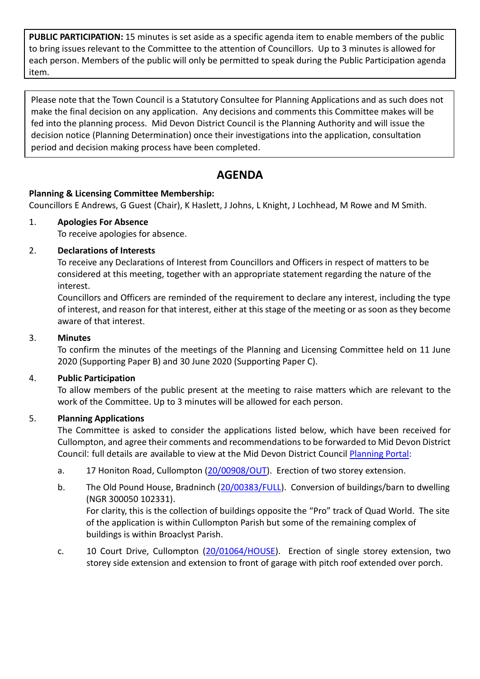**PUBLIC PARTICIPATION:** 15 minutes is set aside as a specific agenda item to enable members of the public to bring issues relevant to the Committee to the attention of Councillors. Up to 3 minutes is allowed for each person. Members of the public will only be permitted to speak during the Public Participation agenda item.

Please note that the Town Council is a Statutory Consultee for Planning Applications and as such does not make the final decision on any application. Any decisions and comments this Committee makes will be fed into the planning process. Mid Devon District Council is the Planning Authority and will issue the decision notice (Planning Determination) once their investigations into the application, consultation period and decision making process have been completed.

# **AGENDA**

## **Planning & Licensing Committee Membership:**

Councillors E Andrews, G Guest (Chair), K Haslett, J Johns, L Knight, J Lochhead, M Rowe and M Smith.

## 1. **Apologies For Absence**

To receive apologies for absence.

## 2. **Declarations of Interests**

To receive any Declarations of Interest from Councillors and Officers in respect of matters to be considered at this meeting, together with an appropriate statement regarding the nature of the interest.

Councillors and Officers are reminded of the requirement to declare any interest, including the type of interest, and reason for that interest, either at this stage of the meeting or as soon as they become aware of that interest.

## 3. **Minutes**

To confirm the minutes of the meetings of the Planning and Licensing Committee held on 11 June 2020 (Supporting Paper B) and 30 June 2020 (Supporting Paper C).

## 4. **Public Participation**

To allow members of the public present at the meeting to raise matters which are relevant to the work of the Committee. Up to 3 minutes will be allowed for each person.

## 5. **Planning Applications**

The Committee is asked to consider the applications listed below, which have been received for Cullompton, and agree their comments and recommendations to be forwarded to Mid Devon District Council: full details are available to view at the Mid Devon District Council [Planning Portal:](https://planning.middevon.gov.uk/online-applications/search.do?action=simple&searchType=BuildingControl)

- a. 17 Honiton Road, Cullompton [\(20/00908/OUT\)](https://planning.middevon.gov.uk/online-applications/applicationDetails.do?activeTab=documents&keyVal=QC2E33KS04G00). Erection of two storey extension.
- b. The Old Pound House, Bradninch [\(20/00383/FULL\)](https://planning.middevon.gov.uk/online-applications/applicationDetails.do?activeTab=documents&keyVal=Q6M9E8KS02X00). Conversion of buildings/barn to dwelling (NGR 300050 102331).

For clarity, this is the collection of buildings opposite the "Pro" track of Quad World. The site of the application is within Cullompton Parish but some of the remaining complex of buildings is within Broaclyst Parish.

c. 10 Court Drive, Cullompton [\(20/01064/HOUSE\)](https://planning.middevon.gov.uk/online-applications/applicationDetails.do?activeTab=documents&keyVal=QDLPPSKS07T00). Erection of single storey extension, two storey side extension and extension to front of garage with pitch roof extended over porch.